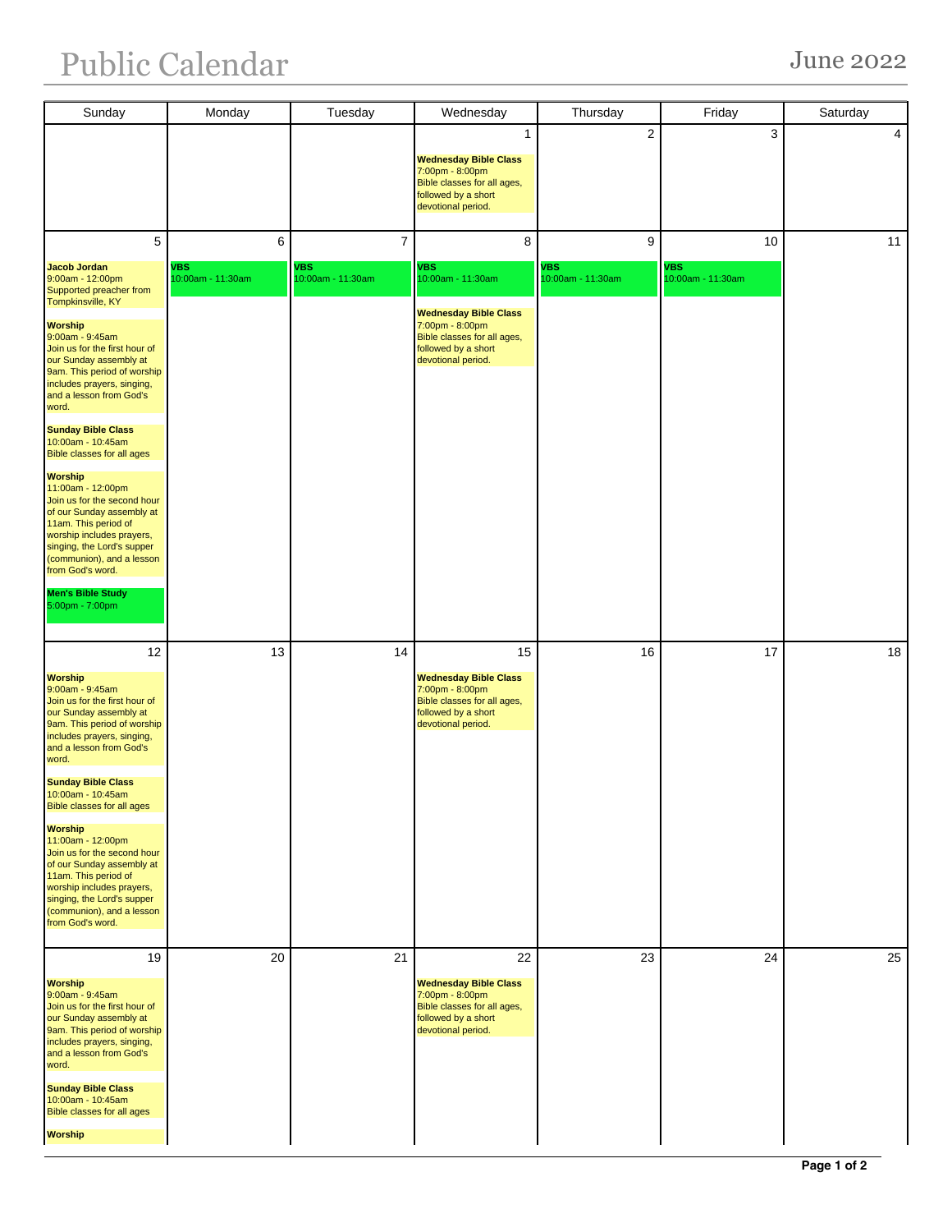## Public Calendar June 2022

| Sunday                                                                                                                                                                                                                              | Monday                          | Tuesday                   | Wednesday                                                                                                                   | Thursday                        | Friday                    | Saturday       |
|-------------------------------------------------------------------------------------------------------------------------------------------------------------------------------------------------------------------------------------|---------------------------------|---------------------------|-----------------------------------------------------------------------------------------------------------------------------|---------------------------------|---------------------------|----------------|
|                                                                                                                                                                                                                                     |                                 |                           | 1                                                                                                                           | $\overline{2}$                  | 3                         | $\overline{4}$ |
|                                                                                                                                                                                                                                     |                                 |                           | <b>Wednesday Bible Class</b><br>7:00pm - 8:00pm<br>Bible classes for all ages,<br>followed by a short                       |                                 |                           |                |
|                                                                                                                                                                                                                                     |                                 |                           | devotional period.                                                                                                          |                                 |                           |                |
| 5                                                                                                                                                                                                                                   | 6                               | $\overline{7}$            | 8                                                                                                                           | 9                               | 10                        | 11             |
| <b>Jacob Jordan</b><br>9:00am - 12:00pm<br>Supported preacher from<br>Tompkinsville, KY                                                                                                                                             | <b>VBS</b><br>10:00am - 11:30am | VBS.<br>10:00am - 11:30am | VBS<br>10:00am - 11:30am                                                                                                    | <b>VBS</b><br>10:00am - 11:30am | VBS.<br>10:00am - 11:30am |                |
| <b>Worship</b><br>9:00am - 9:45am<br>Join us for the first hour of<br>our Sunday assembly at<br>9am. This period of worship<br>includes prayers, singing,<br>and a lesson from God's<br>word.                                       |                                 |                           | <b>Wednesday Bible Class</b><br>7:00pm - 8:00pm<br>Bible classes for all ages,<br>followed by a short<br>devotional period. |                                 |                           |                |
| <b>Sunday Bible Class</b><br>10:00am - 10:45am<br>Bible classes for all ages                                                                                                                                                        |                                 |                           |                                                                                                                             |                                 |                           |                |
| <b>Worship</b><br>11:00am - 12:00pm<br>Join us for the second hour<br>of our Sunday assembly at<br>11am. This period of<br>worship includes prayers,<br>singing, the Lord's supper<br>(communion), and a lesson<br>from God's word. |                                 |                           |                                                                                                                             |                                 |                           |                |
| Men's Bible Study<br>5:00pm - 7:00pm                                                                                                                                                                                                |                                 |                           |                                                                                                                             |                                 |                           |                |
| 12                                                                                                                                                                                                                                  | 13                              | 14                        | 15                                                                                                                          | 16                              | 17                        | 18             |
| <b>Worship</b><br>9:00am - 9:45am<br>Join us for the first hour of<br>our Sunday assembly at<br>9am. This period of worship<br>includes prayers, singing,<br>and a lesson from God's<br>word.                                       |                                 |                           | <b>Wednesday Bible Class</b><br>7:00pm - 8:00pm<br>Bible classes for all ages,<br>followed by a short<br>devotional period. |                                 |                           |                |
| <b>Sunday Bible Class</b><br>10:00am - 10:45am<br><b>Bible classes for all ages</b>                                                                                                                                                 |                                 |                           |                                                                                                                             |                                 |                           |                |
| <b>Worship</b><br>11:00am - 12:00pm<br>Join us for the second hour<br>of our Sunday assembly at<br>11am. This period of<br>worship includes prayers,<br>singing, the Lord's supper<br>(communion), and a lesson<br>from God's word. |                                 |                           |                                                                                                                             |                                 |                           |                |
| 19                                                                                                                                                                                                                                  | 20                              | 21                        | 22                                                                                                                          | 23                              | 24                        | 25             |
| <b>Worship</b><br>9:00am - 9:45am<br>Join us for the first hour of<br>our Sunday assembly at<br>9am. This period of worship<br>includes prayers, singing,<br>and a lesson from God's<br>word.                                       |                                 |                           | <b>Wednesday Bible Class</b><br>7:00pm - 8:00pm<br>Bible classes for all ages,<br>followed by a short<br>devotional period. |                                 |                           |                |
| <b>Sunday Bible Class</b><br>10:00am - 10:45am<br><b>Bible classes for all ages</b>                                                                                                                                                 |                                 |                           |                                                                                                                             |                                 |                           |                |
| <b>Worship</b>                                                                                                                                                                                                                      |                                 |                           |                                                                                                                             |                                 |                           |                |